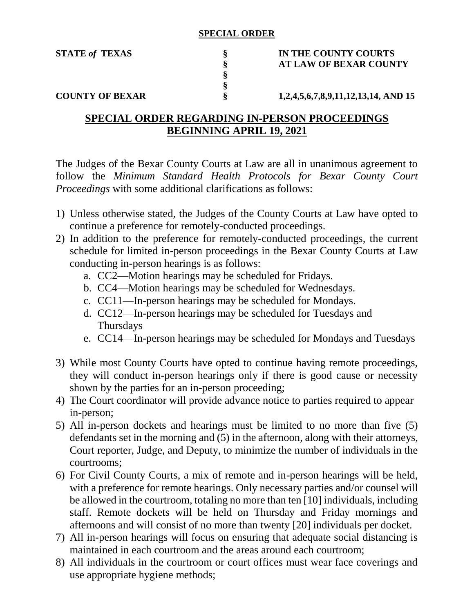## **SPECIAL ORDER**

**§ §**

## **STATE** *of* **TEXAS § IN THE COUNTY COURTS § AT LAW OF BEXAR COUNTY**

**COUNTY OF BEXAR § 1,2,4,5,6,7,8,9,11,12,13,14, AND 15**

## **SPECIAL ORDER REGARDING IN-PERSON PROCEEDINGS BEGINNING APRIL 19, 2021**

The Judges of the Bexar County Courts at Law are all in unanimous agreement to follow the *Minimum Standard Health Protocols for Bexar County Court Proceedings* with some additional clarifications as follows:

- 1) Unless otherwise stated, the Judges of the County Courts at Law have opted to continue a preference for remotely-conducted proceedings.
- 2) In addition to the preference for remotely-conducted proceedings, the current schedule for limited in-person proceedings in the Bexar County Courts at Law conducting in-person hearings is as follows:
	- a. CC2—Motion hearings may be scheduled for Fridays.
	- b. CC4—Motion hearings may be scheduled for Wednesdays.
	- c. CC11—In-person hearings may be scheduled for Mondays.
	- d. CC12—In-person hearings may be scheduled for Tuesdays and Thursdays
	- e. CC14—In-person hearings may be scheduled for Mondays and Tuesdays
- 3) While most County Courts have opted to continue having remote proceedings, they will conduct in-person hearings only if there is good cause or necessity shown by the parties for an in-person proceeding;
- 4) The Court coordinator will provide advance notice to parties required to appear in-person;
- 5) All in-person dockets and hearings must be limited to no more than five (5) defendants set in the morning and (5) in the afternoon, along with their attorneys, Court reporter, Judge, and Deputy, to minimize the number of individuals in the courtrooms;
- 6) For Civil County Courts, a mix of remote and in-person hearings will be held, with a preference for remote hearings. Only necessary parties and/or counsel will be allowed in the courtroom, totaling no more than ten [10] individuals, including staff. Remote dockets will be held on Thursday and Friday mornings and afternoons and will consist of no more than twenty [20] individuals per docket.
- 7) All in-person hearings will focus on ensuring that adequate social distancing is maintained in each courtroom and the areas around each courtroom;
- 8) All individuals in the courtroom or court offices must wear face coverings and use appropriate hygiene methods;